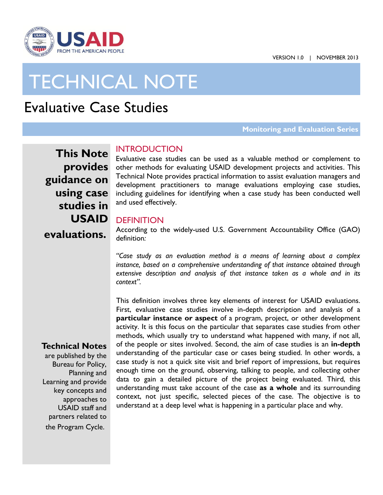

# TECHNICAL NOTE

# Evaluative Case Studies

#### **Monitoring and Evaluation Series**

**This Note provides guidance on using case studies in USAID evaluations.** 

# INTRODUCTION

 other methods for evaluating USAID development projects and activities. This Technical Note provides practical information to assist evaluation managers and development practitioners to manage evaluations employing case studies, including guidelines for identifying when a case study has been conducted well and used effectively.<br>DEFINITION Evaluative case studies can be used as a valuable method or complement to

 According to the widely-used U.S. Government Accountability Office (GAO) definition*:* 

*"Case study as an evaluation method is a means of learning about a complex instance, based on a comprehensive understanding of that instance obtained through extensive description and analysis of that instance taken as a whole and in its context".* 

This definition involves three key elements of interest for USAID evaluations.

 First, evaluative case studies involve in-depth description and analysis of a activity. It is this focus on the particular that separates case studies from other methods, which usually try to understand what happened with many, if not all, of the people or sites involved. Second, the aim of case studies is an **in-depth**  understanding of the particular case or cases being studied. In other words, a case study is not a quick site visit and brief report of impressions, but requires enough time on the ground, observing, talking to people, and collecting other understanding must take account of the case **as a whole** and its surrounding context, not just specific, selected pieces of the case. The objective is to understand at a deep level what is happening in a particular place and why. **particular instance or aspect** of a program, project, or other development data to gain a detailed picture of the project being evaluated. Third, this

# **Technical Notes**

are published by the Bureau for Policy, Planning and Learning and provide key concepts and approaches to USAID staff and partners related to the Program Cycle.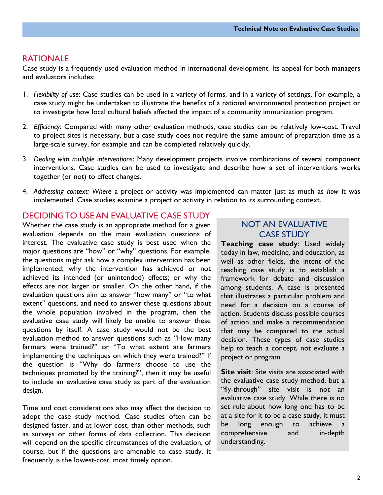## RATIONALE

 Case study is a frequently used evaluation method in international development. Its appeal for both managers and evaluators includes:

- 1. Flexibility of use: Case studies can be used in a variety of forms, and in a variety of settings. For example, a case study might be undertaken to illustrate the benefits of a national environmental protection project or to investigate how local cultural beliefs affected the impact of a community immunization program.
- 2. *Efficiency*: Compared with many other evaluation methods, case studies can be relatively low-cost. Travel to project sites is necessary, but a case study does not require the same amount of preparation time as a large-scale survey, for example and can be completed relatively quickly.
- 3. *Dealing with multiple interventions*: Many development projects involve combinations of several component interventions. Case studies can be used to investigate and describe how a set of interventions works together (or not) to effect changes.
- 4. *Addressing context: Where* a project or activity was implemented can matter just as much as *how* it was implemented. Case studies examine a project or activity in relation to its surrounding context.

# DECIDING TO USE AN EVALUATIVE CASE STUDY

design. Whether the case study is an appropriate method for a given NOT AN EVALUATIVE evaluation depends on the main evaluation questions of **CASE STUDY** interest. The evaluative case study is best used when the **Teaching case study**: Used widely major questions are "how" or "why" questions. For example, today in law, medicine, and education, as the questions might ask how a complex intervention has been well as other fields, the intent of the implemented; why the intervention has achieved or not teaching case study is to establish a achieved its intended (or unintended) effects; or why the framework for debate and discussion effects are not larger or smaller. On the other hand, if the among students. A case is presented evaluation questions aim to answer "how many" or "to what that illustrates a particular problem and extent" questions, and need to answer these questions about need for a decision on a course of the whole population involved in the program, then the action. Students discuss possible courses evaluative case study will likely be unable to answer these of action and make a recommendation questions by itself. A case study would not be the best that may be compared to the actual evaluation method to answer questions such as "How many decision. These types of case studies farmers were trained?" or "To what extent are farmers help to teach a concept, not evaluate a implementing the techniques on which they were trained?" If project or program. the question is "Why do farmers choose to use the techniques promoted by the training?", then it may be useful **Site visit**: Site visits are associated with to include an evaluative case study as part of the evaluation the evaluative case study method, but a

Time and cost considerations also may affect the decision to set rule about how long one has to be adopt the case study method. Case studies often can be at a site for it to be a case study, it must designed faster, and at lower cost, than other methods, such be long enough to achieve a as surveys or other forms of data collection. This decision comprehensive and in-depth and in-depth and in-depth will depend on the specific circumstances of the evaluation, of course, but if the questions are amenable to case study, it frequently is the lowest-cost, most timely option.

"fly-through" site visit is not an evaluative case study. While there is no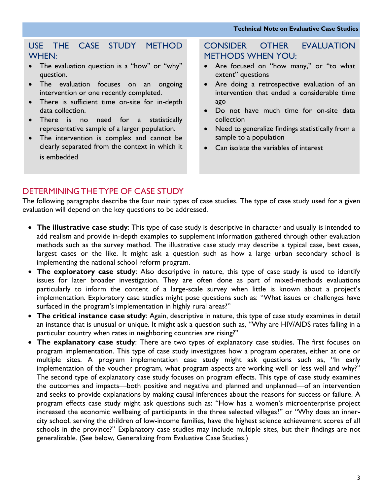# USE THE CASE STUDY METHOD WHEN:

- The evaluation question is a "how" or "why" question.
- The evaluation focuses on an ongoing intervention or one recently completed.
- There is sufficient time on-site for in-depth data collection.
- There is no need for a statistically representative sample of a larger population.
- The intervention is complex and cannot be clearly separated from the context in which it is embedded

# METHODS WHEN YOU: CONSIDER OTHER EVALUATION

- Are focused on "how many," or "to what extent" questions
- Are doing a retrospective evaluation of an intervention that ended a considerable time ago
- Do not have much time for on-site data collection
- Need to generalize findings statistically from a sample to a population
- Can isolate the variables of interest

# DETERMINING THE TYPE OF CASE STUDY

The following paragraphs describe the four main types of case studies. The type of case study used for a given evaluation will depend on the key questions to be addressed.

- **The illustrative case study**: This type of case study is descriptive in character and usually is intended to add realism and provide in-depth examples to supplement information gathered through other evaluation methods such as the survey method. The illustrative case study may describe a typical case, best cases, largest cases or the like. It might ask a question such as how a large urban secondary school is implementing the national school reform program.
- surfaced in the program's implementation in highly rural areas?" **The exploratory case study**: Also descriptive in nature, this type of case study is used to identify issues for later broader investigation. They are often done as part of mixed-methods evaluations particularly to inform the content of a large-scale survey when little is known about a project's implementation. Exploratory case studies might pose questions such as: "What issues or challenges have
- particular country when rates in neighboring countries are rising?" **The critical instance case study**: Again, descriptive in nature, this type of case study examines in detail an instance that is unusual or unique. It might ask a question such as, "Why are HIV/AIDS rates falling in a
- **The explanatory case study**: There are two types of explanatory case studies. The first focuses on program implementation. This type of case study investigates how a program operates, either at one or multiple sites. A program implementation case study might ask questions such as, "In early implementation of the voucher program, what program aspects are working well or less well and why?" The second type of explanatory case study focuses on program effects. This type of case study examines the outcomes and impacts—both positive and negative and planned and unplanned—of an intervention and seeks to provide explanations by making causal inferences about the reasons for success or failure. A program effects case study might ask questions such as: "How has a women's microenterprise project increased the economic wellbeing of participants in the three selected villages?" or "Why does an innercity school, serving the children of low-income families, have the highest science achievement scores of all schools in the province?" Explanatory case studies may include multiple sites, but their findings are not generalizable. (See below, Generalizing from Evaluative Case Studies.)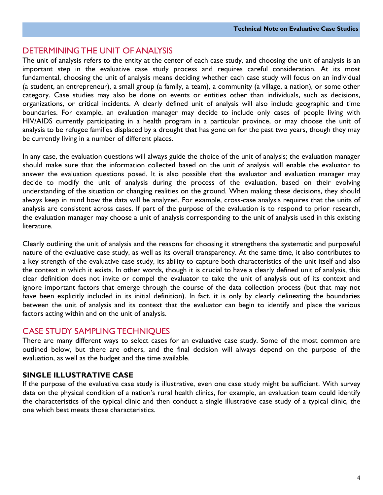# DETERMINING THE UNIT OF ANALYSIS

 The unit of analysis refers to the entity at the center of each case study, and choosing the unit of analysis is an important step in the evaluative case study process and requires careful consideration. At its most fundamental, choosing the unit of analysis means deciding whether each case study will focus on an individual category. Case studies may also be done on events or entities other than individuals, such as decisions, organizations, or critical incidents. A clearly defined unit of analysis will also include geographic and time boundaries. For example, an evaluation manager may decide to include only cases of people living with (a student, an entrepreneur), a small group (a family, a team), a community (a village, a nation), or some other HIV/AIDS currently participating in a health program in a particular province, or may choose the unit of analysis to be refugee families displaced by a drought that has gone on for the past two years, though they may be currently living in a number of different places.

 should make sure that the information collected based on the unit of analysis will enable the evaluator to answer the evaluation questions posed. It is also possible that the evaluator and evaluation manager may decide to modify the unit of analysis during the process of the evaluation, based on their evolving understanding of the situation or changing realities on the ground. When making these decisions, they should always keep in mind how the data will be analyzed. For example, cross-case analysis requires that the units of analysis are consistent across cases. If part of the purpose of the evaluation is to respond to prior research, the evaluation manager may choose a unit of analysis corresponding to the unit of analysis used in this existing In any case, the evaluation questions will always guide the choice of the unit of analysis; the evaluation manager literature.

 Clearly outlining the unit of analysis and the reasons for choosing it strengthens the systematic and purposeful nature of the evaluative case study, as well as its overall transparency. At the same time, it also contributes to a key strength of the evaluative case study, its ability to capture both characteristics of the unit itself and also the context in which it exists. In other words, though it is crucial to have a clearly defined unit of analysis, this clear definition does not invite or compel the evaluator to take the unit of analysis out of its context and ignore important factors that emerge through the course of the data collection process (but that may not between the unit of analysis and its context that the evaluator can begin to identify and place the various have been explicitly included in its initial definition). In fact, it is only by clearly delineating the boundaries factors acting within and on the unit of analysis.

# CASE STUDY SAMPLING TECHNIQUES

 There are many different ways to select cases for an evaluative case study. Some of the most common are outlined below, but there are others, and the final decision will always depend on the purpose of the evaluation, as well as the budget and the time available.

# **SINGLE ILLUSTRATIVE CASE**

 If the purpose of the evaluative case study is illustrative, even one case study might be sufficient. With survey data on the physical condition of a nation's rural health clinics, for example, an evaluation team could identify the characteristics of the typical clinic and then conduct a single illustrative case study of a typical clinic, the one which best meets those characteristics.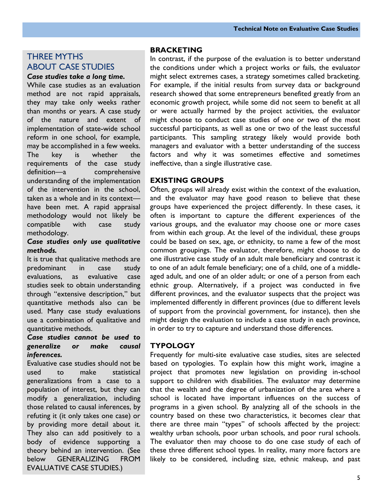# THREE MYTHS ABOUT CASE STUDIES

*Case studies take a long time.* 

 they may take only weeks rather than months or years. A case study implementation of state-wide school key methodology would not likely be While case studies as an evaluation method are not rapid appraisals, of the nature and extent of reform in one school, for example, may be accomplished in a few weeks. The key is whether the requirements of the case study definition—a comprehensive understanding of the implementation of the intervention in the school, taken as a whole and in its context have been met. A rapid appraisal compatible with case study methodology.

#### *Case studies only use qualitative methods.*

 studies seek to obtain understanding It is true that qualitative methods are predominant in case study evaluations, as evaluative case through "extensive description," but quantitative methods also can be used. Many case study evaluations use a combination of qualitative and quantitative methods.

#### *Case studies cannot be used to generalize or make causal inferences.*

 Evaluative case studies should not be  $\mathsf{to}$  generalizations from a case to a those related to causal inferences, by by providing more detail about it. body of evidence supporting a used to make statistical population of interest, but they can modify a generalization, including refuting it (it only takes one case) or They also can add positively to a theory behind an intervention. (See below GENERALIZING FROM EVALUATIVE CASE STUDIES.)

#### **BRACKETING**

 In contrast, if the purpose of the evaluation is to better understand the conditions under which a project works or fails, the evaluator might select extremes cases, a strategy sometimes called bracketing. For example, if the initial results from survey data or background research showed that some entrepreneurs benefited greatly from an economic growth project, while some did not seem to benefit at all might choose to conduct case studies of one or two of the most participants. This sampling strategy likely would provide both managers and evaluator with a better understanding of the success factors and why it was sometimes effective and sometimes or were actually harmed by the project activities, the evaluator successful participants, as well as one or two of the least successful ineffective, than a single illustrative case.

#### **EXISTING GROUPS**

 and the evaluator may have good reason to believe that these groups have experienced the project differently. In these cases, it various groups, and the evaluator may choose one or more cases could be based on sex, age, or ethnicity, to name a few of the most common groupings. The evaluator, therefore, might choose to do to one of an adult female beneficiary; one of a child, one of a middle- aged adult, and one of an older adult; or one of a person from each different provinces, and the evaluator suspects that the project was implemented differently in different provinces (due to different levels in order to try to capture and understand those differences. Often, groups will already exist within the context of the evaluation, often is important to capture the different experiences of the from within each group. At the level of the individual, these groups one illustrative case study of an adult male beneficiary and contrast it ethnic group. Alternatively, if a project was conducted in five of support from the provincial government, for instance), then she might design the evaluation to include a case study in each province,

### **TYPOLOGY**

 Frequently for multi-site evaluative case studies, sites are selected based on typologies. To explain how this might work, imagine a project that promotes new legislation on providing in-school support to children with disabilities. The evaluator may determine programs in a given school. By analyzing all of the schools in the country based on these two characteristics, it becomes clear that there are three main "types" of schools affected by the project: The evaluator then may choose to do one case study of each of these three different school types. In reality, many more factors are likely to be considered, including size, ethnic makeup, and past that the wealth and the degree of urbanization of the area where a school is located have important influences on the success of wealthy urban schools, poor urban schools, and poor rural schools.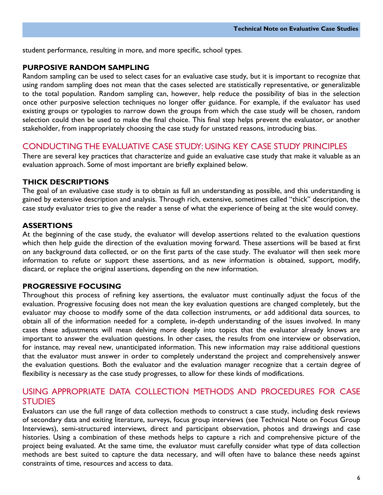student performance, resulting in more, and more specific, school types.

#### **PURPOSIVE RANDOM SAMPLING**

 Random sampling can be used to select cases for an evaluative case study, but it is important to recognize that using random sampling does not mean that the cases selected are statistically representative, or generalizable to the total population. Random sampling can, however, help reduce the possibility of bias in the selection once other purposive selection techniques no longer offer guidance. For example, if the evaluator has used existing groups or typologies to narrow down the groups from which the case study will be chosen, random selection could then be used to make the final choice. This final step helps prevent the evaluator, or another stakeholder, from inappropriately choosing the case study for unstated reasons, introducing bias.

### CONDUCTING THE EVALUATIVE CASE STUDY: USING KEY CASE STUDY PRINCIPLES

 There are several key practices that characterize and guide an evaluative case study that make it valuable as an evaluation approach. Some of most important are briefly explained below.

#### **THICK DESCRIPTIONS**

 The goal of an evaluative case study is to obtain as full an understanding as possible, and this understanding is case study evaluator tries to give the reader a sense of what the experience of being at the site would convey. gained by extensive description and analysis. Through rich, extensive, sometimes called "thick" description, the

#### **ASSERTIONS**

 At the beginning of the case study, the evaluator will develop assertions related to the evaluation questions which then help guide the direction of the evaluation moving forward. These assertions will be based at first on any background data collected, or on the first parts of the case study. The evaluator will then seek more information to refute or support these assertions, and as new information is obtained, support, modify, discard, or replace the original assertions, depending on the new information.

#### **PROGRESSIVE FOCUSING**

 Throughout this process of refining key assertions, the evaluator must continually adjust the focus of the evaluation. Progressive focusing does not mean the key evaluation questions are changed completely, but the evaluator may choose to modify some of the data collection instruments, or add additional data sources, to obtain all of the information needed for a complete, in-depth understanding of the issues involved. In many cases these adjustments will mean delving more deeply into topics that the evaluator already knows are important to answer the evaluation questions. In other cases, the results from one interview or observation, for instance, may reveal new, unanticipated information. This new information may raise additional questions that the evaluator must answer in order to completely understand the project and comprehensively answer the evaluation questions. Both the evaluator and the evaluation manager recognize that a certain degree of flexibility is necessary as the case study progresses, to allow for these kinds of modifications.

# USING APPROPRIATE DATA COLLECTION METHODS AND PROCEDURES FOR CASE STUDIES

 Evaluators can use the full range of data collection methods to construct a case study, including desk reviews of secondary data and exiting literature, surveys, focus group interviews (see Technical Note on Focus Group Interviews), semi-structured interviews, direct and participant observation, photos and drawings and case histories. Using a combination of these methods helps to capture a rich and comprehensive picture of the project being evaluated. At the same time, the evaluator must carefully consider what type of data collection methods are best suited to capture the data necessary, and will often have to balance these needs against constraints of time, resources and access to data.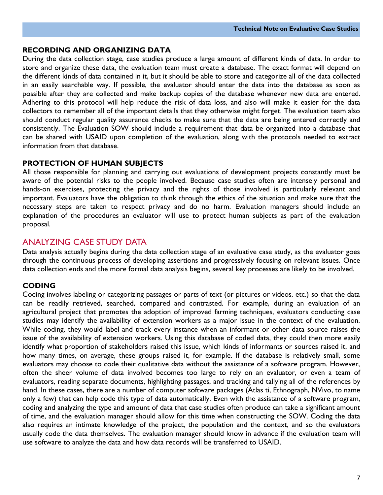#### **RECORDING AND ORGANIZING DATA**

 During the data collection stage, case studies produce a large amount of different kinds of data. In order to store and organize these data, the evaluation team must create a database. The exact format will depend on possible after they are collected and make backup copies of the database whenever new data are entered. Adhering to this protocol will help reduce the risk of data loss, and also will make it easier for the data collectors to remember all of the important details that they otherwise might forget. The evaluation team also should conduct regular quality assurance checks to make sure that the data are being entered correctly and consistently. The Evaluation SOW should include a requirement that data be organized into a database that can be shared with USAID upon completion of the evaluation, along with the protocols needed to extract the different kinds of data contained in it, but it should be able to store and categorize all of the data collected in an easily searchable way. If possible, the evaluator should enter the data into the database as soon as information from that database.

#### **PROTECTION OF HUMAN SUBJECTS**

 All those responsible for planning and carrying out evaluations of development projects constantly must be aware of the potential risks to the people involved. Because case studies often are intensely personal and hands-on exercises, protecting the privacy and the rights of those involved is particularly relevant and important. Evaluators have the obligation to think through the ethics of the situation and make sure that the necessary steps are taken to respect privacy and do no harm. Evaluation managers should include an explanation of the procedures an evaluator will use to protect human subjects as part of the evaluation proposal.

# ANALYZING CASE STUDY DATA

 Data analysis actually begins during the data collection stage of an evaluative case study, as the evaluator goes through the continuous process of developing assertions and progressively focusing on relevant issues. Once data collection ends and the more formal data analysis begins, several key processes are likely to be involved.

### **CODING**

 Coding involves labeling or categorizing passages or parts of text (or pictures or videos, etc.) so that the data agricultural project that promotes the adoption of improved farming techniques, evaluators conducting case studies may identify the availability of extension workers as a major issue in the context of the evaluation. While coding, they would label and track every instance when an informant or other data source raises the issue of the availability of extension workers. Using this database of coded data, they could then more easily identify what proportion of stakeholders raised this issue, which kinds of informants or sources raised it, and how many times, on average, these groups raised it, for example. If the database is relatively small, some evaluators may choose to code their qualitative data without the assistance of a software program. However, often the sheer volume of data involved becomes too large to rely on an evaluator, or even a team of evaluators, reading separate documents, highlighting passages, and tracking and tallying all of the references by only a few) that can help code this type of data automatically. Even with the assistance of a software program, coding and analyzing the type and amount of data that case studies often produce can take a significant amount of time, and the evaluation manager should allow for this time when constructing the SOW. Coding the data can be readily retrieved, searched, compared and contrasted. For example, during an evaluation of an hand. In these cases, there are a number of computer software packages (Atlas ti, Ethnograph, NVivo, to name also requires an intimate knowledge of the project, the population and the context, and so the evaluators usually code the data themselves. The evaluation manager should know in advance if the evaluation team will use software to analyze the data and how data records will be transferred to USAID.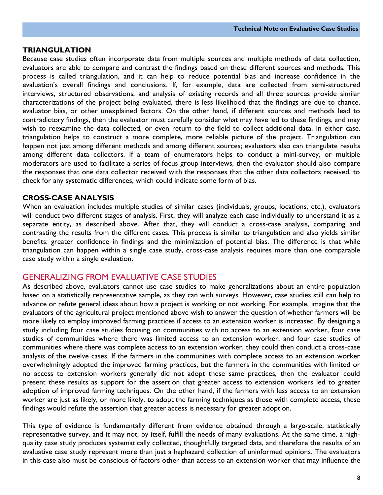#### **TRIANGULATION**

 evaluators are able to compare and contrast the findings based on these different sources and methods. This process is called triangulation, and it can help to reduce potential bias and increase confidence in the evaluation's overall findings and conclusions. If, for example, data are collected from semi-structured interviews, structured observations, and analysis of existing records and all three sources provide similar characterizations of the project being evaluated, there is less likelihood that the findings are due to chance, evaluator bias, or other unexplained factors. On the other hand, if different sources and methods lead to wish to reexamine the data collected, or even return to the field to collect additional data. In either case, triangulation helps to construct a more complete, more reliable picture of the project. Triangulation can happen not just among different methods and among different sources; evaluators also can triangulate results among different data collectors. If a team of enumerators helps to conduct a mini-survey, or multiple moderators are used to facilitate a series of focus group interviews, then the evaluator should also compare the responses that one data collector received with the responses that the other data collectors received, to Because case studies often incorporate data from multiple sources and multiple methods of data collection, contradictory findings, then the evaluator must carefully consider what may have led to these findings, and may check for any systematic differences, which could indicate some form of bias.

#### **CROSS-CASE ANALYSIS**

 When an evaluation includes multiple studies of similar cases (individuals, groups, locations, etc.), evaluators will conduct two different stages of analysis. First, they will analyze each case individually to understand it as a separate entity, as described above. After that, they will conduct a cross-case analysis, comparing and contrasting the results from the different cases. This process is similar to triangulation and also yields similar benefits: greater confidence in findings and the minimization of potential bias. The difference is that while triangulation can happen within a single case study, cross-case analysis requires more than one comparable case study within a single evaluation.

## GENERALIZING FROM EVALUATIVE CASE STUDIES

 As described above, evaluators cannot use case studies to make generalizations about an entire population advance or refute general ideas about how a project is working or not working. For example, imagine that the evaluators of the agricultural project mentioned above wish to answer the question of whether farmers will be more likely to employ improved farming practices if access to an extension worker is increased. By designing a study including four case studies focusing on communities with no access to an extension worker, four case studies of communities where there was limited access to an extension worker, and four case studies of communities where there was complete access to an extension worker, they could then conduct a cross-case analysis of the twelve cases. If the farmers in the communities with complete access to an extension worker no access to extension workers generally did not adopt these same practices, then the evaluator could present these results as support for the assertion that greater access to extension workers led to greater adoption of improved farming techniques. On the other hand, if the farmers with less access to an extension worker are just as likely, or more likely, to adopt the farming techniques as those with complete access, these based on a statistically representative sample, as they can with surveys. However, case studies still can help to overwhelmingly adopted the improved farming practices, but the farmers in the communities with limited or findings would refute the assertion that greater access is necessary for greater adoption.

 representative survey, and it may not, by itself, fulfill the needs of many evaluations. At the same time, a high- quality case study produces systematically collected, thoughtfully targeted data, and therefore the results of an in this case also must be conscious of factors other than access to an extension worker that may influence the This type of evidence is fundamentally different from evidence obtained through a large-scale, statistically evaluative case study represent more than just a haphazard collection of uninformed opinions. The evaluators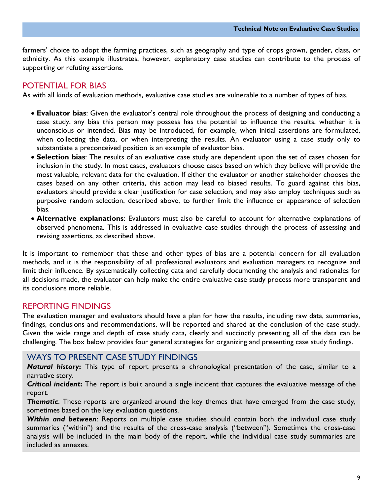farmers' choice to adopt the farming practices, such as geography and type of crops grown, gender, class, or ethnicity. As this example illustrates, however, explanatory case studies can contribute to the process of supporting or refuting assertions.

# POTENTIAL FOR BIAS

As with all kinds of evaluation methods, evaluative case studies are vulnerable to a number of types of bias.

- **Evaluator bias**: Given the evaluator's central role throughout the process of designing and conducting a case study, any bias this person may possess has the potential to influence the results, whether it is unconscious or intended. Bias may be introduced, for example, when initial assertions are formulated, when collecting the data, or when interpreting the results. An evaluator using a case study only to substantiate a preconceived position is an example of evaluator bias.
- **Selection bias**: The results of an evaluative case study are dependent upon the set of cases chosen for inclusion in the study. In most cases, evaluators choose cases based on which they believe will provide the most valuable, relevant data for the evaluation. If either the evaluator or another stakeholder chooses the cases based on any other criteria, this action may lead to biased results. To guard against this bias, evaluators should provide a clear justification for case selection, and may also employ techniques such as purposive random selection, described above, to further limit the influence or appearance of selection bias.
- revising assertions, as described above. **Alternative explanations**: Evaluators must also be careful to account for alternative explanations of observed phenomena. This is addressed in evaluative case studies through the process of assessing and

 It is important to remember that these and other types of bias are a potential concern for all evaluation methods, and it is the responsibility of all professional evaluators and evaluation managers to recognize and limit their influence. By systematically collecting data and carefully documenting the analysis and rationales for all decisions made, the evaluator can help make the entire evaluative case study process more transparent and its conclusions more reliable.

# REPORTING FINDINGS

 The evaluation manager and evaluators should have a plan for how the results, including raw data, summaries, Given the wide range and depth of case study data, clearly and succinctly presenting all of the data can be findings, conclusions and recommendations, will be reported and shared at the conclusion of the case study. challenging. The box below provides four general strategies for organizing and presenting case study findings.

### WAYS TO PRESENT CASE STUDY FINDINGS

*Natural history***:** This type of report presents a chronological presentation of the case, similar to a narrative story.

*Critical incident***:** The report is built around a single incident that captures the evaluative message of the report.

 sometimes based on the key evaluation questions. *Thematic*: These reports are organized around the key themes that have emerged from the case study,

 included as annexes. *Within and between*: Reports on multiple case studies should contain both the individual case study summaries ("within") and the results of the cross-case analysis ("between"). Sometimes the cross-case analysis will be included in the main body of the report, while the individual case study summaries are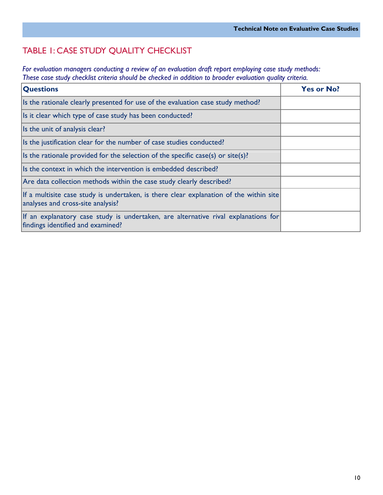# TABLE 1: CASE STUDY QUALITY CHECKLIST

For evaluation managers conducting a review of an evaluation draft report employing case study methods: These case study checklist criteria should be checked in addition to broader evaluation quality criteria.

| <b>Questions</b>                                                                                                            | <b>Yes or No?</b> |
|-----------------------------------------------------------------------------------------------------------------------------|-------------------|
| Its the rationale clearly presented for use of the evaluation case study method?                                            |                   |
| Is it clear which type of case study has been conducted?                                                                    |                   |
| Is the unit of analysis clear?                                                                                              |                   |
| Its the justification clear for the number of case studies conducted?                                                       |                   |
| Is the rationale provided for the selection of the specific case(s) or site(s)?                                             |                   |
| Is the context in which the intervention is embedded described?                                                             |                   |
| Are data collection methods within the case study clearly described?                                                        |                   |
| If a multisite case study is undertaken, is there clear explanation of the within site<br>analyses and cross-site analysis? |                   |
| If an explanatory case study is undertaken, are alternative rival explanations for<br>findings identified and examined?     |                   |